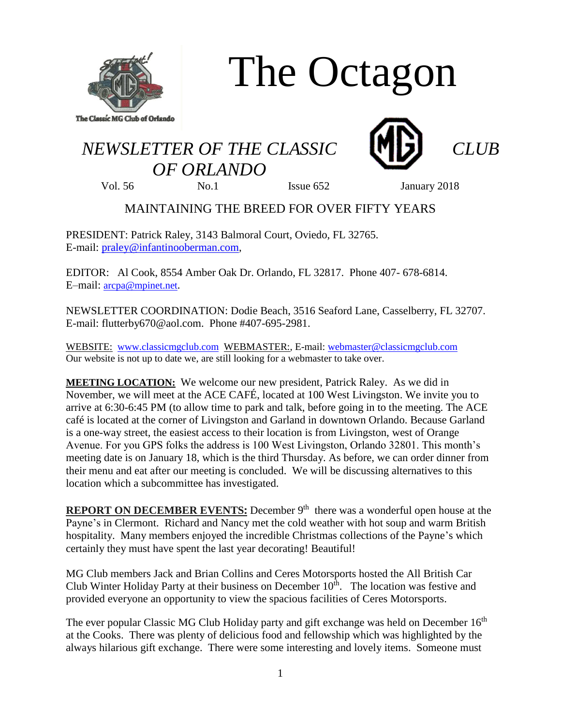

# The Octagon

## *NEWSLETTER OF THE CLASSIC CLUB OF ORLANDO*





Vol. 56 No.1 Issue 652 January 2018

### MAINTAINING THE BREED FOR OVER FIFTY YEARS

PRESIDENT: Patrick Raley, 3143 Balmoral Court, Oviedo, FL 32765. E-mail: [praley@infantinooberman.com,](mailto:praley@infantinooberman.com)

EDITOR: Al Cook, 8554 Amber Oak Dr. Orlando, FL 32817. Phone 407- 678-6814. E–mail: [arcpa@mpinet.net](mailto:arcpa@mpinet.net).

NEWSLETTER COORDINATION: Dodie Beach, 3516 Seaford Lane, Casselberry, FL 32707. E-mail: flutterby670@aol.com. Phone #407-695-2981.

WEBSITE: [www.classicmgclub.com](http://www.classicmgclub.com/) WEBMASTER:, E-mail[: webmaster@classicmgclub.com](mailto:webmaster@classicmgclub.com) Our website is not up to date we, are still looking for a webmaster to take over.

**MEETING LOCATION:** We welcome our new president, Patrick Raley. As we did in November, we will meet at the ACE CAFÉ, located at 100 West Livingston. We invite you to arrive at 6:30-6:45 PM (to allow time to park and talk, before going in to the meeting. The ACE café is located at the corner of Livingston and Garland in downtown Orlando. Because Garland is a one-way street, the easiest access to their location is from Livingston, west of Orange Avenue. For you GPS folks the address is 100 West Livingston, Orlando 32801. This month's meeting date is on January 18, which is the third Thursday. As before, we can order dinner from their menu and eat after our meeting is concluded. We will be discussing alternatives to this location which a subcommittee has investigated.

**REPORT ON DECEMBER EVENTS:** December 9<sup>th</sup> there was a wonderful open house at the Payne's in Clermont. Richard and Nancy met the cold weather with hot soup and warm British hospitality. Many members enjoyed the incredible Christmas collections of the Payne's which certainly they must have spent the last year decorating! Beautiful!

MG Club members Jack and Brian Collins and Ceres Motorsports hosted the All British Car Club Winter Holiday Party at their business on December  $10^{\overline{h}}$ . The location was festive and provided everyone an opportunity to view the spacious facilities of Ceres Motorsports.

The ever popular Classic MG Club Holiday party and gift exchange was held on December 16<sup>th</sup> at the Cooks. There was plenty of delicious food and fellowship which was highlighted by the always hilarious gift exchange. There were some interesting and lovely items. Someone must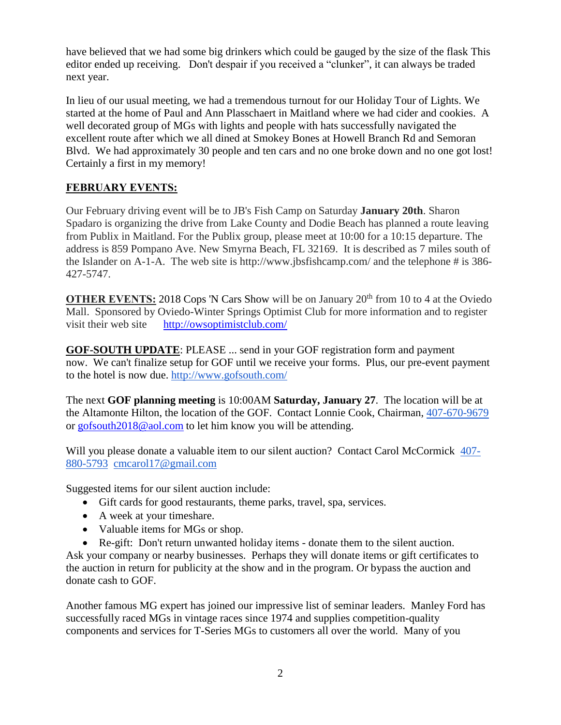have believed that we had some big drinkers which could be gauged by the size of the flask This editor ended up receiving. Don't despair if you received a "clunker", it can always be traded next year.

In lieu of our usual meeting, we had a tremendous turnout for our Holiday Tour of Lights. We started at the home of Paul and Ann Plasschaert in Maitland where we had cider and cookies. A well decorated group of MGs with lights and people with hats successfully navigated the excellent route after which we all dined at Smokey Bones at Howell Branch Rd and Semoran Blvd. We had approximately 30 people and ten cars and no one broke down and no one got lost! Certainly a first in my memory!

#### **FEBRUARY EVENTS:**

Our February driving event will be to JB's Fish Camp on Saturday **January 20th**. Sharon Spadaro is organizing the drive from Lake County and Dodie Beach has planned a route leaving from Publix in Maitland. For the Publix group, please meet at 10:00 for a 10:15 departure. The address is 859 Pompano Ave. New Smyrna Beach, FL 32169. It is described as 7 miles south of the Islander on A-1-A. The web site is http://www.jbsfishcamp.com/ and the telephone # is 386- 427-5747.

**OTHER EVENTS:** 2018 Cops 'N Cars Show will be on January 20<sup>th</sup> from 10 to 4 at the Oviedo Mall. Sponsored by Oviedo-Winter Springs Optimist Club for more information and to register visit their web site <http://owsoptimistclub.com/>

**GOF-SOUTH UPDATE**: PLEASE ... send in your GOF registration form and payment now. We can't finalize setup for GOF until we receive your forms. Plus, our pre-event payment to the hotel is now due. <http://www.gofsouth.com/>

The next **GOF planning meeting** is 10:00AM **Saturday, January 27**. The location will be at the Altamonte Hilton, the location of the GOF. Contact Lonnie Cook, Chairman, [407-670-9679](tel:(407)%20670-9679) or [gofsouth2018@aol.com](mailto:gofsouth2018@aol.com) to let him know you will be attending.

Will you please donate a valuable item to our silent auction? Contact Carol McCormick [407-](tel:(407)%20880-5793) [880-5793](tel:(407)%20880-5793) [cmcarol17@gmail.com](mailto:cmcarol17@gmail.com)

Suggested items for our silent auction include:

- Gift cards for good restaurants, theme parks, travel, spa, services.
- A week at your timeshare.
- Valuable items for MGs or shop.
- Re-gift: Don't return unwanted holiday items donate them to the silent auction.

Ask your company or nearby businesses. Perhaps they will donate items or gift certificates to the auction in return for publicity at the show and in the program. Or bypass the auction and donate cash to GOF.

Another famous MG expert has joined our impressive list of seminar leaders. Manley Ford has successfully raced MGs in vintage races since 1974 and supplies competition-quality components and services for T-Series MGs to customers all over the world. Many of you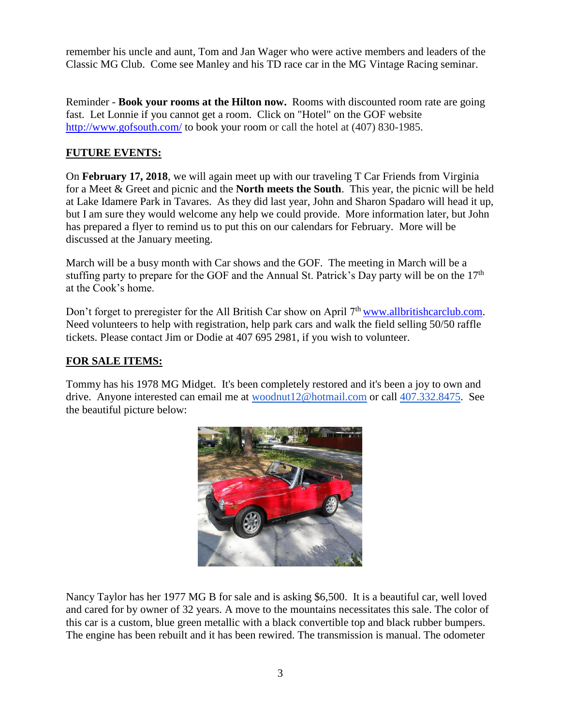remember his uncle and aunt, Tom and Jan Wager who were active members and leaders of the Classic MG Club. Come see Manley and his TD race car in the MG Vintage Racing seminar.

Reminder - **Book your rooms at the Hilton now.** Rooms with discounted room rate are going fast. Let Lonnie if you cannot get a room. Click on "Hotel" on the GOF website <http://www.gofsouth.com/> to book your room or call the hotel at (407) 830-1985.

#### **FUTURE EVENTS:**

On **February 17, 2018**, we will again meet up with our traveling T Car Friends from Virginia for a Meet & Greet and picnic and the **North meets the South**. This year, the picnic will be held at Lake Idamere Park in Tavares. As they did last year, John and Sharon Spadaro will head it up, but I am sure they would welcome any help we could provide. More information later, but John has prepared a flyer to remind us to put this on our calendars for February. More will be discussed at the January meeting.

March will be a busy month with Car shows and the GOF. The meeting in March will be a stuffing party to prepare for the GOF and the Annual St. Patrick's Day party will be on the  $17<sup>th</sup>$ at the Cook's home.

Don't forget to preregister for the All British Car show on April 7<sup>th</sup> [www.allbritishcarclub.com.](http://www.allbritishcarclub.com/) Need volunteers to help with registration, help park cars and walk the field selling 50/50 raffle tickets. Please contact Jim or Dodie at 407 695 2981, if you wish to volunteer.

#### **FOR SALE ITEMS:**

Tommy has his 1978 MG Midget. It's been completely restored and it's been a joy to own and drive. Anyone interested can email me at [woodnut12@hotmail.com](mailto:woodnut12@hotmail.com) or call [407.332.8475.](tel:(407)%20332-8475) See the beautiful picture below:



Nancy Taylor has her 1977 MG B for sale and is asking \$6,500. It is a beautiful car, well loved and cared for by owner of 32 years. A move to the mountains necessitates this sale. The color of this car is a custom, blue green metallic with a black convertible top and black rubber bumpers. The engine has been rebuilt and it has been rewired. The transmission is manual. The odometer